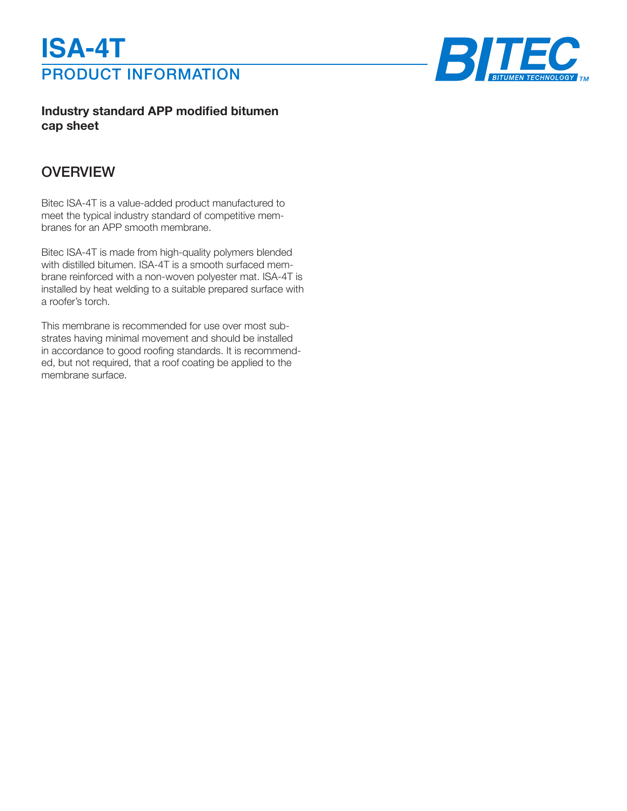



**Industry standard APP modified bitumen cap sheet**

## **OVERVIEW**

Bitec ISA-4T is a value-added product manufactured to meet the typical industry standard of competitive membranes for an APP smooth membrane.

Bitec ISA-4T is made from high-quality polymers blended with distilled bitumen. ISA-4T is a smooth surfaced membrane reinforced with a non-woven polyester mat. ISA-4T is installed by heat welding to a suitable prepared surface with a roofer's torch.

This membrane is recommended for use over most substrates having minimal movement and should be installed in accordance to good roofing standards. It is recommended, but not required, that a roof coating be applied to the membrane surface.